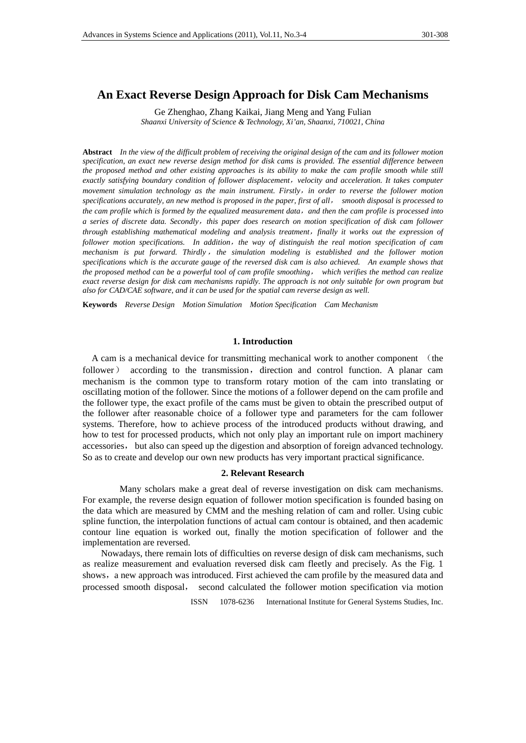# **An Exact Reverse Design Approach for Disk Cam Mechanisms**

Ge Zhenghao, Zhang Kaikai, Jiang Meng and Yang Fulian *Shaanxi University of Science & Technology, Xi'an, Shaanxi, 710021, China* 

**Abstract** *In the view of the difficult problem of receiving the original design of the cam and its follower motion specification, an exact new reverse design method for disk cams is provided. The essential difference between the proposed method and other existing approaches is its ability to make the cam profile smooth while still exactly satisfying boundary condition of follower displacement*,*velocity and acceleration. It takes computer movement simulation technology as the main instrument. Firstly*,*in order to reverse the follower motion specifications accurately, an new method is proposed in the paper, first of all*, *smooth disposal is processed to the cam profile which is formed by the equalized measurement data*,*and then the cam profile is processed into a series of discrete data. Secondly*,*this paper does research on motion specification of disk cam follower through establishing mathematical modeling and analysis treatment*,*finally it works out the expression of follower motion specifications. In addition*,*the way of distinguish the real motion specification of cam mechanism is put forward. Thirdly*,*the simulation modeling is established and the follower motion specifications which is the accurate gauge of the reversed disk cam is also achieved. An example shows that the proposed method can be a powerful tool of cam profile smoothing*, *which verifies the method can realize exact reverse design for disk cam mechanisms rapidly. The approach is not only suitable for own program but also for CAD/CAE software, and it can be used for the spatial cam reverse design as well.*

**Keywords** *Reverse Design Motion Simulation Motion Specification Cam Mechanism*

### **1. Introduction**

 A cam is a mechanical device for transmitting mechanical work to another component (the follower) according to the transmission, direction and control function. A planar cam mechanism is the common type to transform rotary motion of the cam into translating or oscillating motion of the follower. Since the motions of a follower depend on the cam profile and the follower type, the exact profile of the cams must be given to obtain the prescribed output of the follower after reasonable choice of a follower type and parameters for the cam follower systems. Therefore, how to achieve process of the introduced products without drawing, and how to test for processed products, which not only play an important rule on import machinery accessories, but also can speed up the digestion and absorption of foreign advanced technology. So as to create and develop our own new products has very important practical significance.

#### **2. Relevant Research**

 Many scholars make a great deal of reverse investigation on disk cam mechanisms. For example, the reverse design equation of follower motion specification is founded basing on the data which are measured by CMM and the meshing relation of cam and roller. Using cubic spline function, the interpolation functions of actual cam contour is obtained, and then academic contour line equation is worked out, finally the motion specification of follower and the implementation are reversed.

Nowadays, there remain lots of difficulties on reverse design of disk cam mechanisms, such as realize measurement and evaluation reversed disk cam fleetly and precisely. As the Fig. 1 shows, a new approach was introduced. First achieved the cam profile by the measured data and processed smooth disposal, second calculated the follower motion specification via motion

ISSN 1078-6236 International Institute for General Systems Studies, Inc.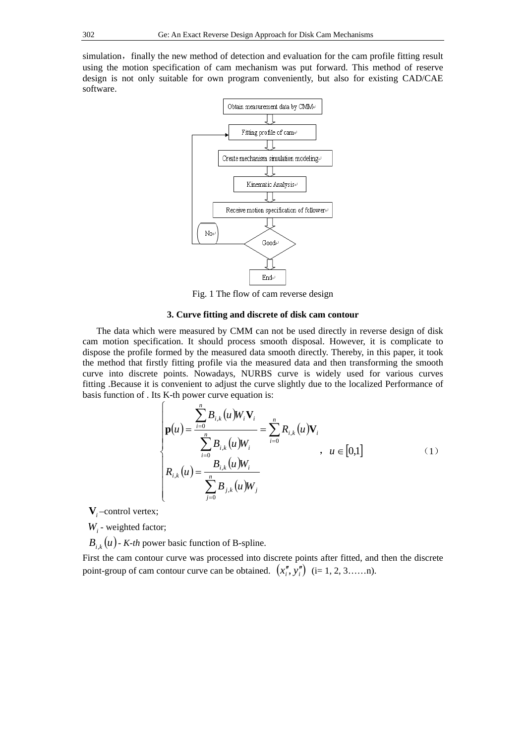simulation, finally the new method of detection and evaluation for the cam profile fitting result using the motion specification of cam mechanism was put forward. This method of reserve design is not only suitable for own program conveniently, but also for existing CAD/CAE software.



Fig. 1 The flow of cam reverse design

## **3. Curve fitting and discrete of disk cam contour**

The data which were measured by CMM can not be used directly in reverse design of disk cam motion specification. It should process smooth disposal. However, it is complicate to dispose the profile formed by the measured data smooth directly. Thereby, in this paper, it took the method that firstly fitting profile via the measured data and then transforming the smooth curve into discrete points. Nowadays, NURBS curve is widely used for various curves fitting .Because it is convenient to adjust the curve slightly due to the localized Performance of basis function of . Its K-th power curve equation is:

$$
\begin{cases}\n\mathbf{p}(u) = \frac{\sum_{i=0}^{n} B_{i,k}(u) W_i \mathbf{V}_i}{\sum_{i=0}^{n} B_{i,k}(u) W_i} = \sum_{i=0}^{n} R_{i,k}(u) \mathbf{V}_i \\
R_{i,k}(u) = \frac{B_{i,k}(u) W_i}{\sum_{j=0}^{n} B_{j,k}(u) W_j}\n\end{cases}, \quad u \in [0,1]
$$
\n(1)

**V***<sup>i</sup>* –control vertex;

*Wi* - weighted factor;

 $B_i$ <sub>k</sub> $(u)$  - *K-th* power basic function of B-spline.

First the cam contour curve was processed into discrete points after fitted, and then the discrete point-group of cam contour curve can be obtained.  $(x_i^{\prime\prime}, y_i^{\prime\prime})$  (i= 1, 2, 3……n).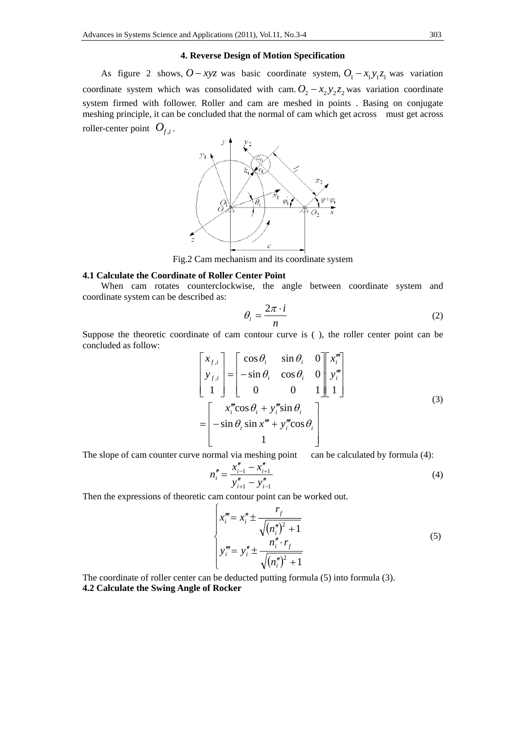# **4. Reverse Design of Motion Specification**

As figure 2 shows,  $O - xyz$  was basic coordinate system,  $O_1 - x_1y_1z_1$  was variation coordinate system which was consolidated with cam.  $O_2 - x_2y_2z_2$  was variation coordinate system firmed with follower. Roller and cam are meshed in points . Basing on conjugate meshing principle, it can be concluded that the normal of cam which get across must get across roller-center point  $O_{f,i}$ .



Fig.2 Cam mechanism and its coordinate system

#### **4.1 Calculate the Coordinate of Roller Center Point**

When cam rotates counterclockwise, the angle between coordinate system and coordinate system can be described as:

$$
\theta_i = \frac{2\pi \cdot i}{n} \tag{2}
$$

Suppose the theoretic coordinate of cam contour curve is ( ), the roller center point can be concluded as follow:

$$
\begin{bmatrix} x_{f,i} \\ y_{f,i} \\ 1 \end{bmatrix} = \begin{bmatrix} \cos \theta_i & \sin \theta_i & 0 \\ -\sin \theta_i & \cos \theta_i & 0 \\ 0 & 0 & 1 \end{bmatrix} \begin{bmatrix} x_i^m \\ y_i^m \\ 1 \end{bmatrix}
$$
\n
$$
= \begin{bmatrix} x_i^m \cos \theta_i + y_i^m \sin \theta_i \\ -\sin \theta_i \sin x^m + y_i^m \cos \theta_i \\ 1 \end{bmatrix}
$$
\n(3)

The slope of cam counter curve normal via meshing point can be calculated by formula (4):

$$
n_i'' = \frac{x_{i-1}'' - x_{i+1}''}{y_{i+1}'' - y_{i-1}''}
$$
\n<sup>(4)</sup>

Then the expressions of theoretic cam contour point can be worked out.

$$
\begin{cases}\n x_i^m = x_i'' \pm \frac{r_f}{\sqrt{(n_i'')^2 + 1}} \\
 y_i^m = y_i'' \pm \frac{n_i'' \cdot r_f}{\sqrt{(n_i'')^2 + 1}}\n \end{cases}
$$
\n(5)

The coordinate of roller center can be deducted putting formula (5) into formula (3). **4.2 Calculate the Swing Angle of Rocker**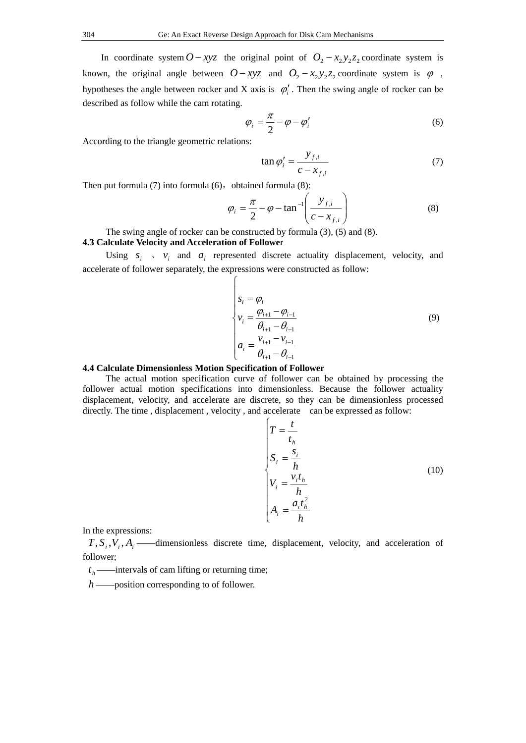In coordinate system  $O - xyz$  the original point of  $O_2 - x_2y_2z_2$  coordinate system is known, the original angle between  $O - xyz$  and  $O_2 - x_2y_2z_2$  coordinate system is  $\varphi$ , hypotheses the angle between rocker and X axis is  $\varphi_i'$ . Then the swing angle of rocker can be described as follow while the cam rotating.

$$
\varphi_i = \frac{\pi}{2} - \varphi - \varphi_i' \tag{6}
$$

According to the triangle geometric relations:

$$
\tan \varphi_i' = \frac{y_{f,i}}{c - x_{f,i}}\tag{7}
$$

Then put formula  $(7)$  into formula  $(6)$ , obtained formula  $(8)$ :

$$
\varphi_i = \frac{\pi}{2} - \varphi - \tan^{-1}\left(\frac{y_{f,i}}{c - x_{f,i}}\right) \tag{8}
$$

The swing angle of rocker can be constructed by formula (3), (5) and (8).

# **4.3 Calculate Velocity and Acceleration of Followe**r

Using  $s_i$ ,  $v_i$  and  $a_i$  represented discrete actuality displacement, velocity, and accelerate of follower separately, the expressions were constructed as follow:

$$
\begin{cases}\ns_i = \varphi_i \\
v_i = \frac{\varphi_{i+1} - \varphi_{i-1}}{\theta_{i+1} - \theta_{i-1}} \\
a_i = \frac{v_{i+1} - v_{i-1}}{\theta_{i+1} - \theta_{i-1}}\n\end{cases} \tag{9}
$$

#### **4.4 Calculate Dimensionless Motion Specification of Follower**

The actual motion specification curve of follower can be obtained by processing the follower actual motion specifications into dimensionless. Because the follower actuality displacement, velocity, and accelerate are discrete, so they can be dimensionless processed directly. The time , displacement , velocity , and accelerate can be expressed as follow:

$$
\begin{cases}\nT = \frac{t}{t_h} \\
S_i = \frac{s_i}{h} \\
V_i = \frac{v_i t_h}{h} \\
A_i = \frac{a_i t_h^2}{h}\n\end{cases}
$$
\n(10)

In the expressions:

 $T$ ,  $S_i$ ,  $V_i$ ,  $A_i$  ——dimensionless discrete time, displacement, velocity, and acceleration of follower;

 $t<sub>h</sub>$  ——intervals of cam lifting or returning time;

*h* ——position corresponding to of follower.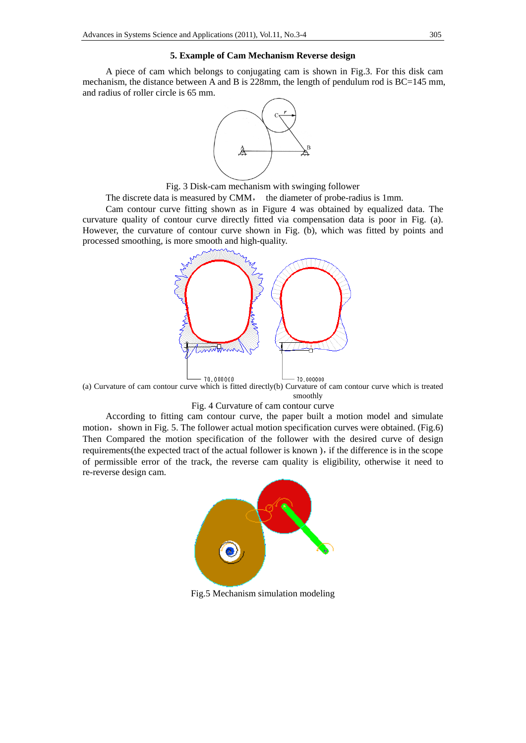# **5. Example of Cam Mechanism Reverse design**

A piece of cam which belongs to conjugating cam is shown in Fig.3. For this disk cam mechanism, the distance between A and B is 228mm, the length of pendulum rod is BC=145 mm, and radius of roller circle is 65 mm.



Fig. 3 Disk-cam mechanism with swinging follower

The discrete data is measured by CMM, the diameter of probe-radius is 1mm.

Cam contour curve fitting shown as in Figure 4 was obtained by equalized data. The curvature quality of contour curve directly fitted via compensation data is poor in Fig. (a). However, the curvature of contour curve shown in Fig. (b), which was fitted by points and processed smoothing, is more smooth and high-quality.



(a) Curvature of cam contour curve which is fitted directly(b) Curvature of cam contour curve which is treated smoothly

#### Fig. 4 Curvature of cam contour curve

According to fitting cam contour curve, the paper built a motion model and simulate motion, shown in Fig. 5. The follower actual motion specification curves were obtained. (Fig.6) Then Compared the motion specification of the follower with the desired curve of design requirements(the expected tract of the actual follower is known), if the difference is in the scope of permissible error of the track, the reverse cam quality is eligibility, otherwise it need to re-reverse design cam.



Fig.5 Mechanism simulation modeling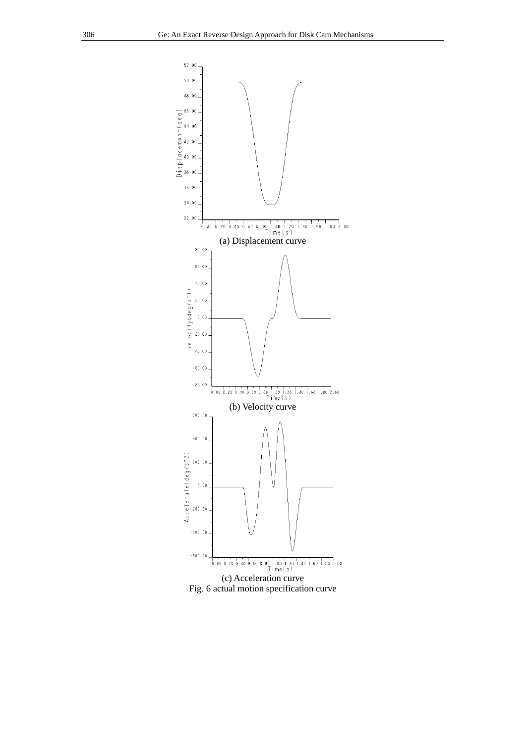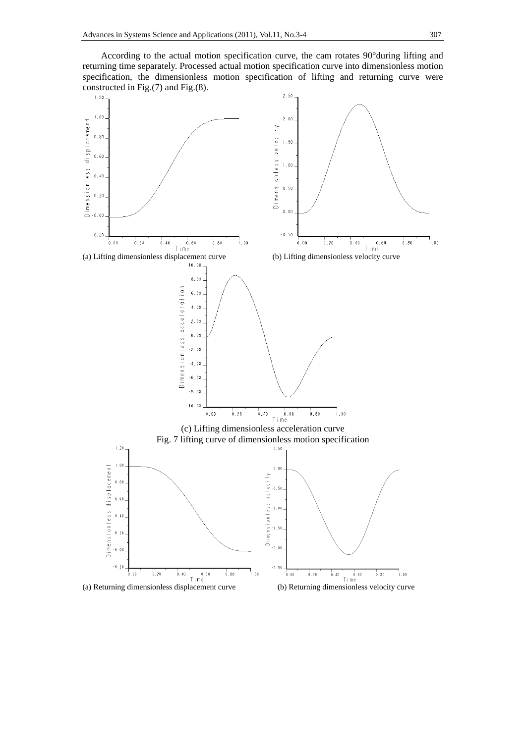According to the actual motion specification curve, the cam rotates 90°during lifting and returning time separately. Processed actual motion specification curve into dimensionless motion specification, the dimensionless motion specification of lifting and returning curve were constructed in Fig.(7) and Fig.(8).